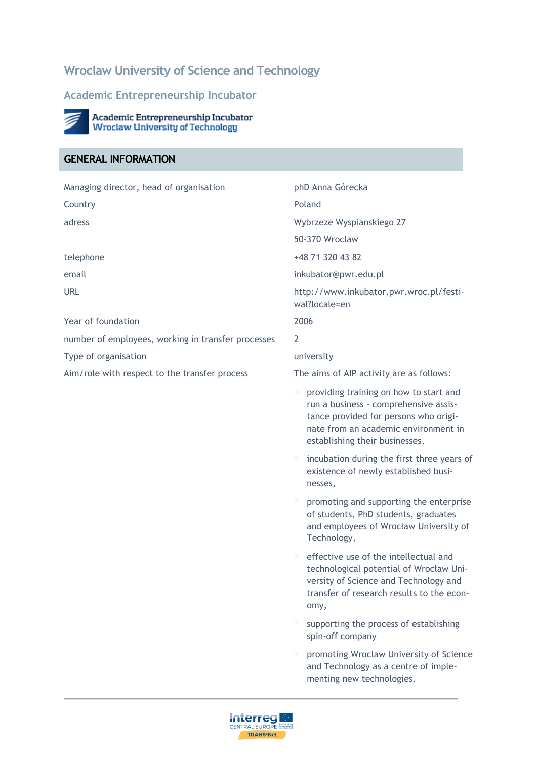# **Wroclaw University of Science and Technology**

#### **Academic Entrepreneurship Incubator**



Academic Entrepreneurship Incubator<br>Wroclaw University of Technology

## **GENERAL INFORMATION**

| Managing director, head of organisation            | phD Anna Górecka                                                                                                                                                                                        |
|----------------------------------------------------|---------------------------------------------------------------------------------------------------------------------------------------------------------------------------------------------------------|
| Country                                            | Poland                                                                                                                                                                                                  |
| adress                                             | Wybrzeze Wyspianskiego 27                                                                                                                                                                               |
|                                                    | 50-370 Wroclaw                                                                                                                                                                                          |
| telephone                                          | +48 71 320 43 82                                                                                                                                                                                        |
| email                                              | inkubator@pwr.edu.pl                                                                                                                                                                                    |
| <b>URL</b>                                         | http://www.inkubator.pwr.wroc.pl/festi-<br>wal?locale=en                                                                                                                                                |
| Year of foundation                                 | 2006                                                                                                                                                                                                    |
| number of employees, working in transfer processes | $\overline{2}$                                                                                                                                                                                          |
| Type of organisation                               | university                                                                                                                                                                                              |
| Aim/role with respect to the transfer process      | The aims of AIP activity are as follows:                                                                                                                                                                |
|                                                    | providing training on how to start and<br>0<br>run a business - comprehensive assis-<br>tance provided for persons who origi-<br>nate from an academic environment in<br>establishing their businesses, |
|                                                    | incubation during the first three years of<br>Ξ<br>existence of newly established busi-<br>nesses,                                                                                                      |
|                                                    | promoting and supporting the enterprise<br>0<br>of students, PhD students, graduates<br>and employees of Wrocław University of<br>Technology,                                                           |
|                                                    | effective use of the intellectual and<br>$\Box$<br>technological potential of Wrocław Uni-<br>versity of Science and Technology and<br>transfer of research results to the econ-<br>omy,                |
|                                                    | supporting the process of establishing<br>$\Box$<br>spin-off company                                                                                                                                    |
|                                                    | promoting Wroclaw University of Science<br>0<br>and Technology as a centre of imple-<br>menting new technologies.                                                                                       |

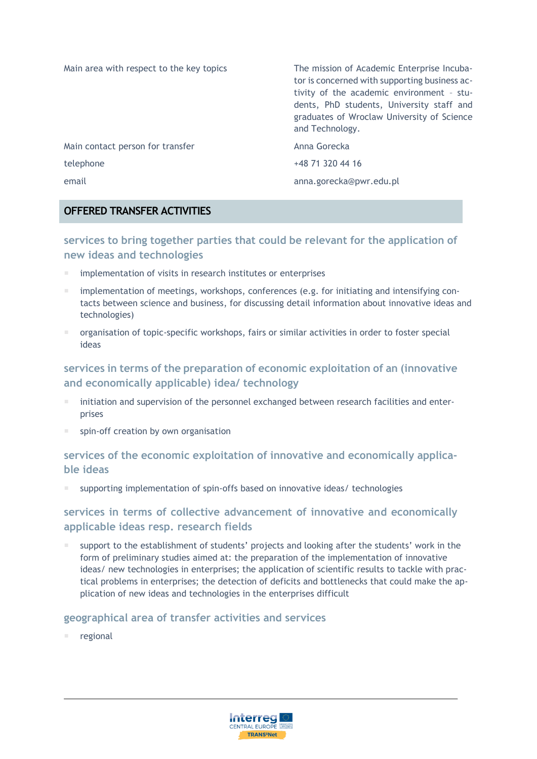| Main area with respect to the key topics | The mission of Academic Enterprise Incuba-<br>tor is concerned with supporting business ac-<br>tivity of the academic environment - stu-<br>dents, PhD students, University staff and<br>graduates of Wroclaw University of Science<br>and Technology. |
|------------------------------------------|--------------------------------------------------------------------------------------------------------------------------------------------------------------------------------------------------------------------------------------------------------|
| Main contact person for transfer         | Anna Gorecka                                                                                                                                                                                                                                           |
| telephone                                | +48 71 320 44 16                                                                                                                                                                                                                                       |
| email                                    | anna.gorecka@pwr.edu.pl                                                                                                                                                                                                                                |

#### **OFFERED TRANSFER ACTIVITIES**

#### **services to bring together parties that could be relevant for the application of new ideas and technologies**

- implementation of visits in research institutes or enterprises
- implementation of meetings, workshops, conferences (e.g. for initiating and intensifying contacts between science and business, for discussing detail information about innovative ideas and technologies)
- organisation of topic-specific workshops, fairs or similar activities in order to foster special ideas

#### **services in terms of the preparation of economic exploitation of an (innovative and economically applicable) idea/ technology**

- initiation and supervision of the personnel exchanged between research facilities and enterprises
- spin-off creation by own organisation

#### **services of the economic exploitation of innovative and economically applicable ideas**

supporting implementation of spin-offs based on innovative ideas/ technologies

#### **services in terms of collective advancement of innovative and economically applicable ideas resp. research fields**

 support to the establishment of students' projects and looking after the students' work in the form of preliminary studies aimed at: the preparation of the implementation of innovative ideas/ new technologies in enterprises; the application of scientific results to tackle with practical problems in enterprises; the detection of deficits and bottlenecks that could make the application of new ideas and technologies in the enterprises difficult

#### **geographical area of transfer activities and services**

regional